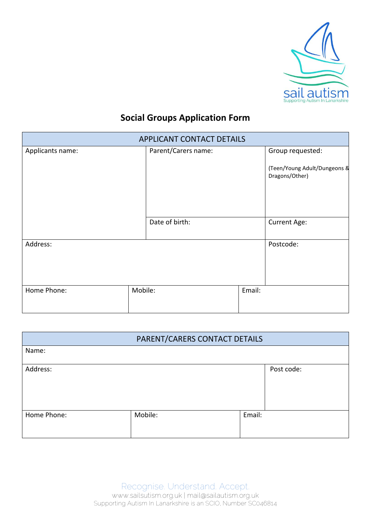

# **Social Groups Application Form**

| <b>APPLICANT CONTACT DETAILS</b> |         |                     |        |                                                |  |
|----------------------------------|---------|---------------------|--------|------------------------------------------------|--|
| Applicants name:                 |         | Parent/Carers name: |        | Group requested:                               |  |
|                                  |         |                     |        | (Teen/Young Adult/Dungeons &<br>Dragons/Other) |  |
|                                  |         | Date of birth:      |        | Current Age:                                   |  |
| Address:                         |         |                     |        | Postcode:                                      |  |
| Home Phone:                      | Mobile: |                     | Email: |                                                |  |

| PARENT/CARERS CONTACT DETAILS |         |        |            |  |
|-------------------------------|---------|--------|------------|--|
| Name:                         |         |        |            |  |
| Address:                      |         |        | Post code: |  |
| Home Phone:                   | Mobile: | Email: |            |  |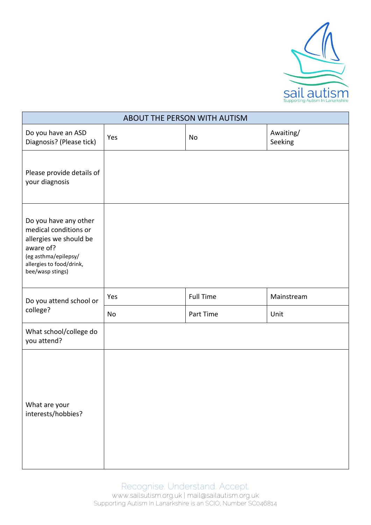

| ABOUT THE PERSON WITH AUTISM                                                                                                                                  |     |                  |                      |  |  |  |  |
|---------------------------------------------------------------------------------------------------------------------------------------------------------------|-----|------------------|----------------------|--|--|--|--|
| Do you have an ASD<br>Diagnosis? (Please tick)                                                                                                                | Yes | No               | Awaiting/<br>Seeking |  |  |  |  |
| Please provide details of<br>your diagnosis                                                                                                                   |     |                  |                      |  |  |  |  |
| Do you have any other<br>medical conditions or<br>allergies we should be<br>aware of?<br>(eg asthma/epilepsy/<br>allergies to food/drink,<br>bee/wasp stings) |     |                  |                      |  |  |  |  |
| Do you attend school or<br>college?                                                                                                                           | Yes | <b>Full Time</b> | Mainstream           |  |  |  |  |
|                                                                                                                                                               | No  | Part Time        | Unit                 |  |  |  |  |
| What school/college do<br>you attend?                                                                                                                         |     |                  |                      |  |  |  |  |
| What are your<br>interests/hobbies?                                                                                                                           |     |                  |                      |  |  |  |  |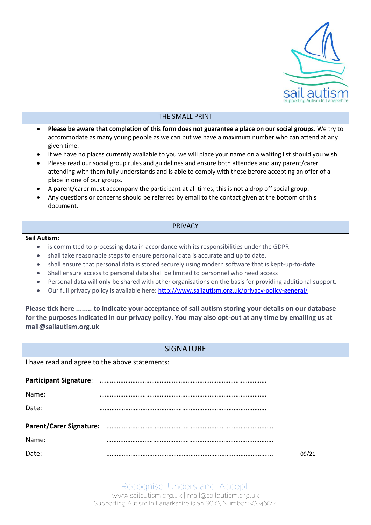

## THE SMALL PRINT **Please be aware that completion of this form does not guarantee a place on our social groups**. We try to accommodate as many young people as we can but we have a maximum number who can attend at any given time. If we have no places currently available to you we will place your name on a waiting list should you wish. Please read our social group rules and guidelines and ensure both attendee and any parent/carer attending with them fully understands and is able to comply with these before accepting an offer of a place in one of our groups. A parent/carer must accompany the participant at all times, this is not a drop off social group. Any questions or concerns should be referred by email to the contact given at the bottom of this document. PRIVACY **Sail Autism:** is committed to processing data in accordance with its responsibilities under the GDPR. shall take reasonable steps to ensure personal data is accurate and up to date. shall ensure that personal data is stored securely using modern software that is kept-up-to-date. Shall ensure access to personal data shall be limited to personnel who need access Personal data will only be shared with other organisations on the basis for providing additional support. Our full privacy policy is available here:<http://www.sailautism.org.uk/privacy-policy-general/> **Please tick here ........ to indicate your acceptance of sail autism storing your details on our database for the purposes indicated in our privacy policy. You may also opt-out at any time by emailing us at mail@sailautism.org.uk SIGNATURE** I have read and agree to the above statements: **Participant Signature**: ……………………………………………………………………………………. Name: ……………………………………………………………………………………. Date: ……………………………………………………………………………………. **Parent/Carer Signature:** ……………………………………………………………………………………. Name: ……………………………………………………………………………………. Date: ……………………………………………………………………………………. 09/21

Recognise. Understand. Accept. www.sailsutism.org.uk | mail@sailautism.org.uk Supporting Autism In Lanarkshire is an SCIO, Number SC046814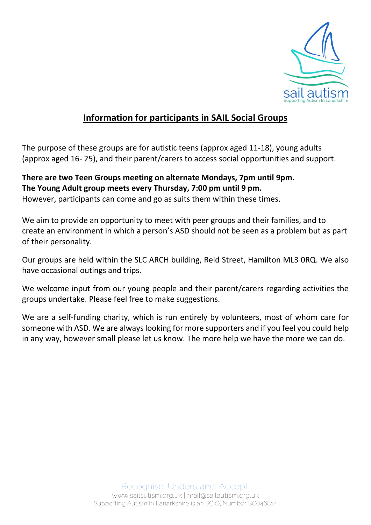

## **Information for participants in SAIL Social Groups**

The purpose of these groups are for autistic teens (approx aged 11-18), young adults (approx aged 16- 25), and their parent/carers to access social opportunities and support.

#### **There are two Teen Groups meeting on alternate Mondays, 7pm until 9pm. The Young Adult group meets every Thursday, 7:00 pm until 9 pm.**

However, participants can come and go as suits them within these times.

We aim to provide an opportunity to meet with peer groups and their families, and to create an environment in which a person's ASD should not be seen as a problem but as part of their personality.

Our groups are held within the SLC ARCH building, Reid Street, Hamilton ML3 0RQ. We also have occasional outings and trips.

We welcome input from our young people and their parent/carers regarding activities the groups undertake. Please feel free to make suggestions.

We are a self-funding charity, which is run entirely by volunteers, most of whom care for someone with ASD. We are always looking for more supporters and if you feel you could help in any way, however small please let us know. The more help we have the more we can do.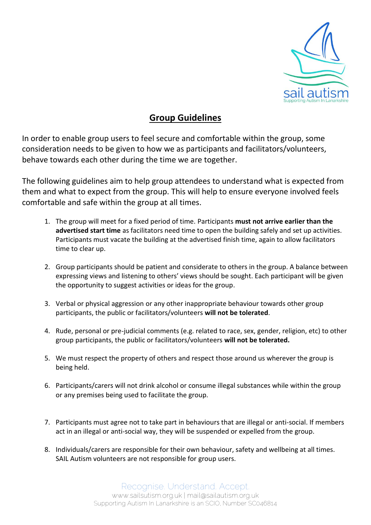

### **Group Guidelines**

In order to enable group users to feel secure and comfortable within the group, some consideration needs to be given to how we as participants and facilitators/volunteers, behave towards each other during the time we are together.

The following guidelines aim to help group attendees to understand what is expected from them and what to expect from the group. This will help to ensure everyone involved feels comfortable and safe within the group at all times.

- 1. The group will meet for a fixed period of time. Participants **must not arrive earlier than the advertised start time** as facilitators need time to open the building safely and set up activities. Participants must vacate the building at the advertised finish time, again to allow facilitators time to clear up.
- 2. Group participants should be patient and considerate to others in the group. A balance between expressing views and listening to others' views should be sought. Each participant will be given the opportunity to suggest activities or ideas for the group.
- 3. Verbal or physical aggression or any other inappropriate behaviour towards other group participants, the public or facilitators/volunteers **will not be tolerated**.
- 4. Rude, personal or pre-judicial comments (e.g. related to race, sex, gender, religion, etc) to other group participants, the public or facilitators/volunteers **will not be tolerated.**
- 5. We must respect the property of others and respect those around us wherever the group is being held.
- 6. Participants/carers will not drink alcohol or consume illegal substances while within the group or any premises being used to facilitate the group.
- 7. Participants must agree not to take part in behaviours that are illegal or anti-social. If members act in an illegal or anti-social way, they will be suspended or expelled from the group.
- 8. Individuals/carers are responsible for their own behaviour, safety and wellbeing at all times. SAIL Autism volunteers are not responsible for group users.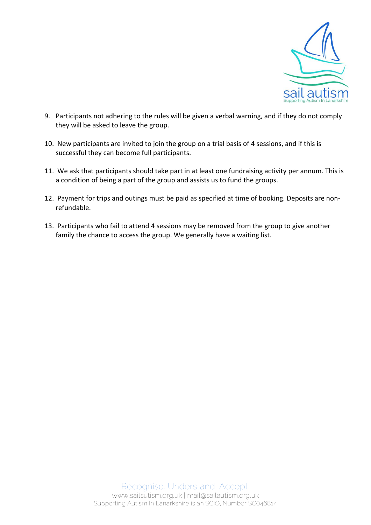

- 9. Participants not adhering to the rules will be given a verbal warning, and if they do not comply they will be asked to leave the group.
- 10. New participants are invited to join the group on a trial basis of 4 sessions, and if this is successful they can become full participants.
- 11. We ask that participants should take part in at least one fundraising activity per annum. This is a condition of being a part of the group and assists us to fund the groups.
- 12. Payment for trips and outings must be paid as specified at time of booking. Deposits are nonrefundable.
- 13. Participants who fail to attend 4 sessions may be removed from the group to give another family the chance to access the group. We generally have a waiting list.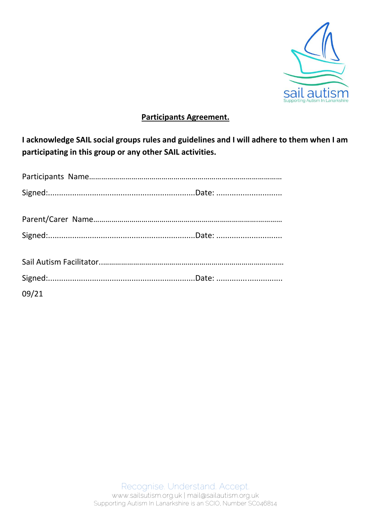

#### **Participants Agreement.**

**I acknowledge SAIL social groups rules and guidelines and I will adhere to them when I am participating in this group or any other SAIL activities.**

| 09/21 |  |
|-------|--|